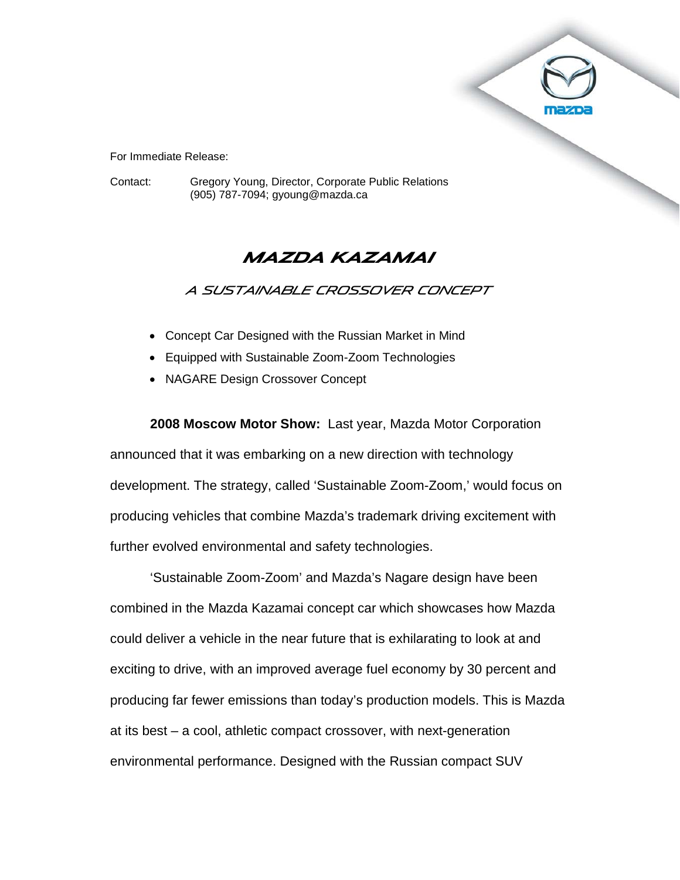

For Immediate Release:

Contact: Gregory Young, Director, Corporate Public Relations (905) 787-7094; gyoung@mazda.ca

# **Mazda Kazamai**

A Sustainable Crossover Concept

- Concept Car Designed with the Russian Market in Mind
- Equipped with Sustainable Zoom-Zoom Technologies
- NAGARE Design Crossover Concept

**2008 Moscow Motor Show:** Last year, Mazda Motor Corporation announced that it was embarking on a new direction with technology development. The strategy, called 'Sustainable Zoom-Zoom,' would focus on producing vehicles that combine Mazda's trademark driving excitement with further evolved environmental and safety technologies.

'Sustainable Zoom-Zoom' and Mazda's Nagare design have been combined in the Mazda Kazamai concept car which showcases how Mazda could deliver a vehicle in the near future that is exhilarating to look at and exciting to drive, with an improved average fuel economy by 30 percent and producing far fewer emissions than today's production models. This is Mazda at its best – a cool, athletic compact crossover, with next-generation environmental performance. Designed with the Russian compact SUV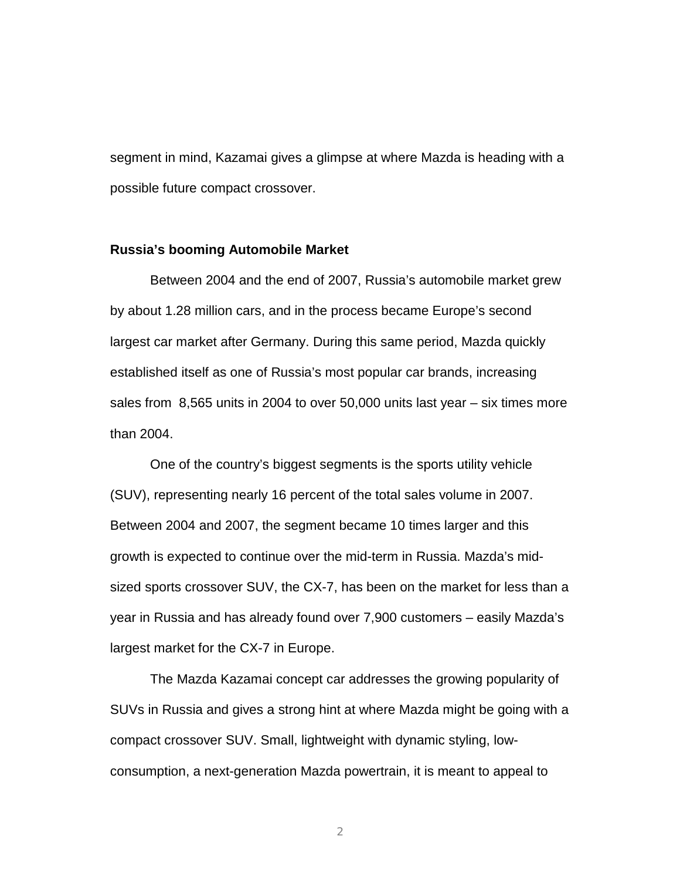segment in mind, Kazamai gives a glimpse at where Mazda is heading with a possible future compact crossover.

#### **Russia's booming Automobile Market**

Between 2004 and the end of 2007, Russia's automobile market grew by about 1.28 million cars, and in the process became Europe's second largest car market after Germany. During this same period, Mazda quickly established itself as one of Russia's most popular car brands, increasing sales from 8,565 units in 2004 to over 50,000 units last year – six times more than 2004.

One of the country's biggest segments is the sports utility vehicle (SUV), representing nearly 16 percent of the total sales volume in 2007. Between 2004 and 2007, the segment became 10 times larger and this growth is expected to continue over the mid-term in Russia. Mazda's midsized sports crossover SUV, the CX-7, has been on the market for less than a year in Russia and has already found over 7,900 customers – easily Mazda's largest market for the CX-7 in Europe.

The Mazda Kazamai concept car addresses the growing popularity of SUVs in Russia and gives a strong hint at where Mazda might be going with a compact crossover SUV. Small, lightweight with dynamic styling, lowconsumption, a next-generation Mazda powertrain, it is meant to appeal to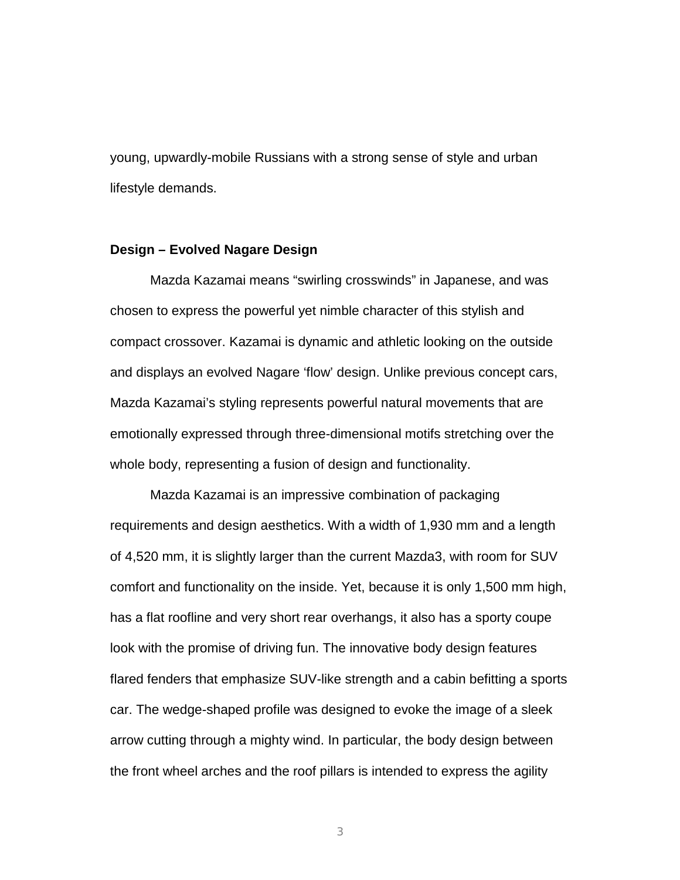young, upwardly-mobile Russians with a strong sense of style and urban lifestyle demands.

#### **Design – Evolved Nagare Design**

Mazda Kazamai means "swirling crosswinds" in Japanese, and was chosen to express the powerful yet nimble character of this stylish and compact crossover. Kazamai is dynamic and athletic looking on the outside and displays an evolved Nagare 'flow' design. Unlike previous concept cars, Mazda Kazamai's styling represents powerful natural movements that are emotionally expressed through three-dimensional motifs stretching over the whole body, representing a fusion of design and functionality.

Mazda Kazamai is an impressive combination of packaging requirements and design aesthetics. With a width of 1,930 mm and a length of 4,520 mm, it is slightly larger than the current Mazda3, with room for SUV comfort and functionality on the inside. Yet, because it is only 1,500 mm high, has a flat roofline and very short rear overhangs, it also has a sporty coupe look with the promise of driving fun. The innovative body design features flared fenders that emphasize SUV-like strength and a cabin befitting a sports car. The wedge-shaped profile was designed to evoke the image of a sleek arrow cutting through a mighty wind. In particular, the body design between the front wheel arches and the roof pillars is intended to express the agility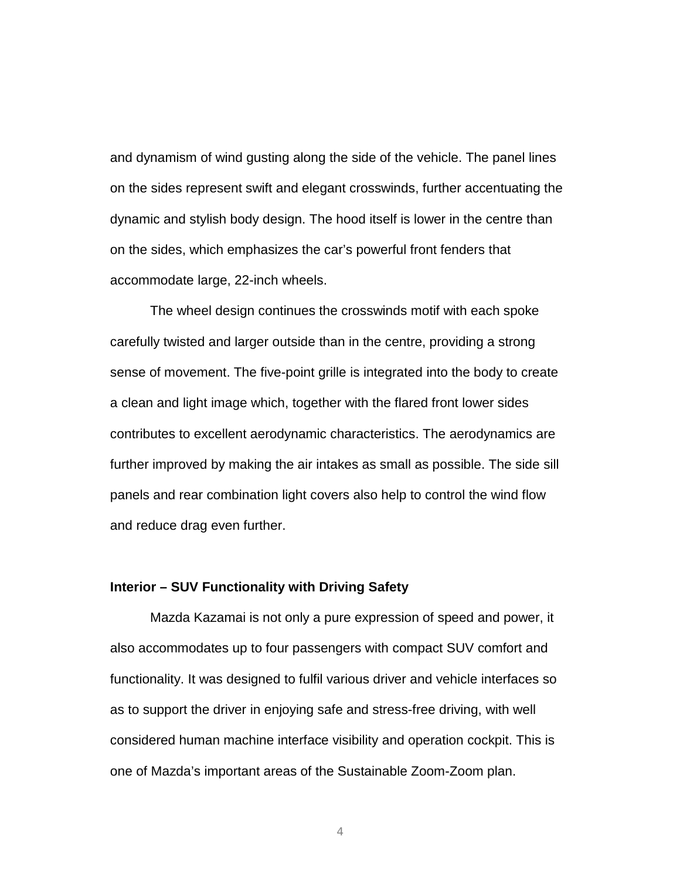and dynamism of wind gusting along the side of the vehicle. The panel lines on the sides represent swift and elegant crosswinds, further accentuating the dynamic and stylish body design. The hood itself is lower in the centre than on the sides, which emphasizes the car's powerful front fenders that accommodate large, 22-inch wheels.

The wheel design continues the crosswinds motif with each spoke carefully twisted and larger outside than in the centre, providing a strong sense of movement. The five-point grille is integrated into the body to create a clean and light image which, together with the flared front lower sides contributes to excellent aerodynamic characteristics. The aerodynamics are further improved by making the air intakes as small as possible. The side sill panels and rear combination light covers also help to control the wind flow and reduce drag even further.

### **Interior – SUV Functionality with Driving Safety**

Mazda Kazamai is not only a pure expression of speed and power, it also accommodates up to four passengers with compact SUV comfort and functionality. It was designed to fulfil various driver and vehicle interfaces so as to support the driver in enjoying safe and stress-free driving, with well considered human machine interface visibility and operation cockpit. This is one of Mazda's important areas of the Sustainable Zoom-Zoom plan.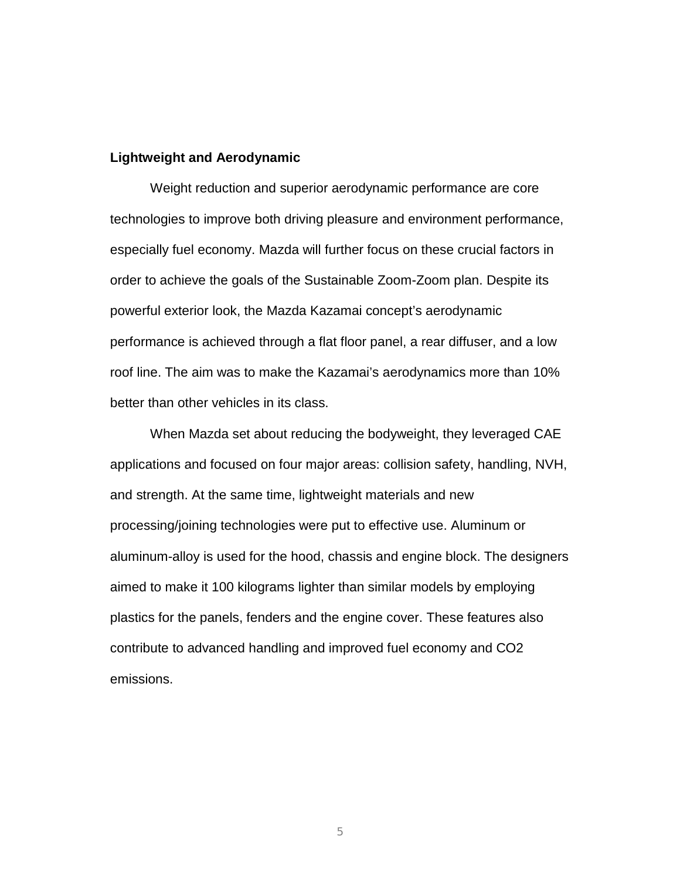#### **Lightweight and Aerodynamic**

Weight reduction and superior aerodynamic performance are core technologies to improve both driving pleasure and environment performance, especially fuel economy. Mazda will further focus on these crucial factors in order to achieve the goals of the Sustainable Zoom-Zoom plan. Despite its powerful exterior look, the Mazda Kazamai concept's aerodynamic performance is achieved through a flat floor panel, a rear diffuser, and a low roof line. The aim was to make the Kazamai's aerodynamics more than 10% better than other vehicles in its class.

When Mazda set about reducing the bodyweight, they leveraged CAE applications and focused on four major areas: collision safety, handling, NVH, and strength. At the same time, lightweight materials and new processing/joining technologies were put to effective use. Aluminum or aluminum-alloy is used for the hood, chassis and engine block. The designers aimed to make it 100 kilograms lighter than similar models by employing plastics for the panels, fenders and the engine cover. These features also contribute to advanced handling and improved fuel economy and CO2 emissions.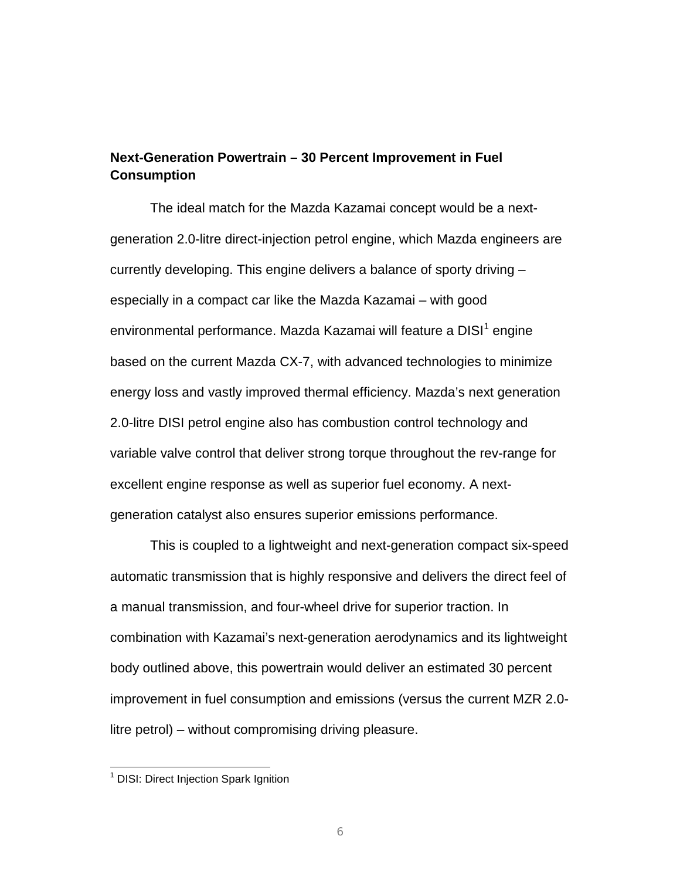### **Next-Generation Powertrain – 30 Percent Improvement in Fuel Consumption**

The ideal match for the Mazda Kazamai concept would be a nextgeneration 2.0-litre direct-injection petrol engine, which Mazda engineers are currently developing. This engine delivers a balance of sporty driving – especially in a compact car like the Mazda Kazamai – with good environmental performance. Mazda Kazamai will feature a DISI<sup>[1](#page-5-0)</sup> engine based on the current Mazda CX-7, with advanced technologies to minimize energy loss and vastly improved thermal efficiency. Mazda's next generation 2.0-litre DISI petrol engine also has combustion control technology and variable valve control that deliver strong torque throughout the rev-range for excellent engine response as well as superior fuel economy. A nextgeneration catalyst also ensures superior emissions performance.

This is coupled to a lightweight and next-generation compact six-speed automatic transmission that is highly responsive and delivers the direct feel of a manual transmission, and four-wheel drive for superior traction. In combination with Kazamai's next-generation aerodynamics and its lightweight body outlined above, this powertrain would deliver an estimated 30 percent improvement in fuel consumption and emissions (versus the current MZR 2.0 litre petrol) – without compromising driving pleasure.

<span id="page-5-0"></span><sup>&</sup>lt;sup>1</sup> DISI: Direct Injection Spark Ignition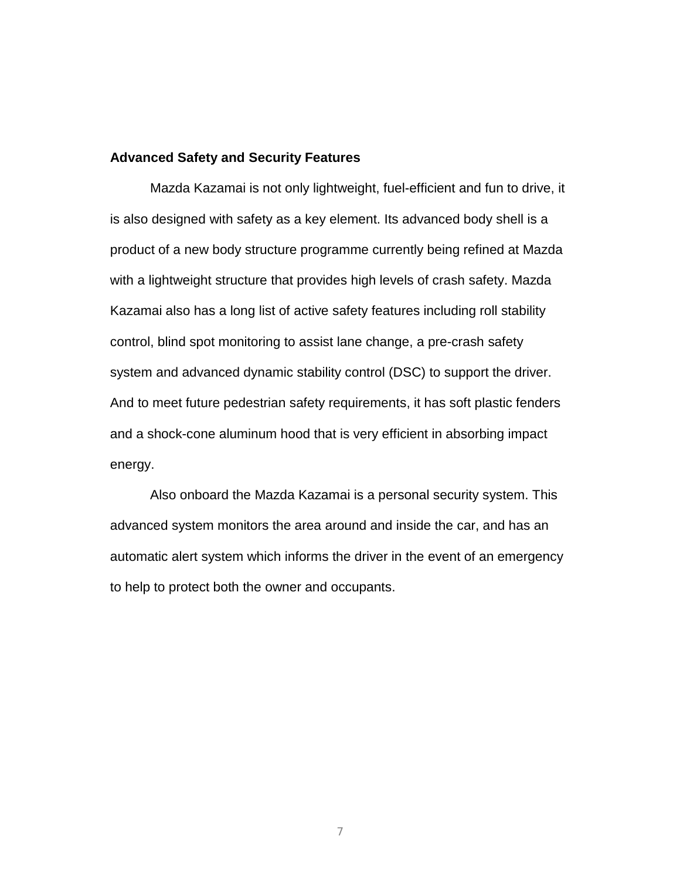#### **Advanced Safety and Security Features**

Mazda Kazamai is not only lightweight, fuel-efficient and fun to drive, it is also designed with safety as a key element. Its advanced body shell is a product of a new body structure programme currently being refined at Mazda with a lightweight structure that provides high levels of crash safety. Mazda Kazamai also has a long list of active safety features including roll stability control, blind spot monitoring to assist lane change, a pre-crash safety system and advanced dynamic stability control (DSC) to support the driver. And to meet future pedestrian safety requirements, it has soft plastic fenders and a shock-cone aluminum hood that is very efficient in absorbing impact energy.

Also onboard the Mazda Kazamai is a personal security system. This advanced system monitors the area around and inside the car, and has an automatic alert system which informs the driver in the event of an emergency to help to protect both the owner and occupants.